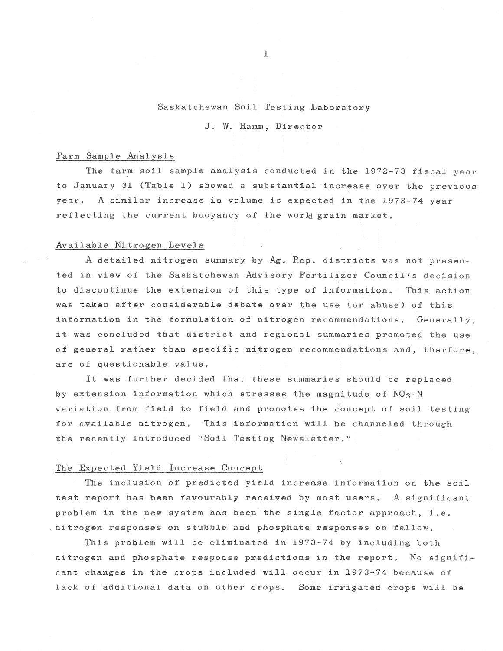# Saskatchewan Soil Testing Laboratory

#### J. W. Hamm, Director

#### Farm Sample Analysis

The farm soil sample analysis conducted in the 1972-73 fiscal year to January 31 (Table 1) showed a substantial increase over the previous year. A similar increase in volume is expected in the 1973-74 year reflecting the current buoyancy of the world grain market.

#### Available Nitrogen Levels

A detailed nitrogen summary by Ag. Rep. districts was not presented in view of the Saskatchewan Advisory Fertilizer Council's decision to discontinue the extension of this type of information. This action was taken after considerable debate over the use (or abuse) of this information in the formulation of nitrogen recommendations. Generally, it was concluded that district and regional summaries promoted the use of general rather than specific nitrogen recommendations and, therfore, are of questionable value.

It was further decided that these summaries should be replaced by extension information which stresses the magnitude of  $NO<sub>3</sub>-N$ variation from field to field and promotes the concept of soil testing for available nitrogen. This information will be channeled through the recently introduced "Soil Testing Newsletter."

#### The Expected Yield Increase Concept

The inclusion of predicted yield increase information on the soil test report has been favourably received by most users. A significant problem in the new system has been the single factor approach, i.e. . nitrogen responses on stubble and phosphate responses on fallow.

This problem will be eliminated in 1973-74 by including both nitrogen and phosphate response predictions in the report. No significant changes in the crops included will occur in i973-74 because of lack of additional data on other crops. Some irrigated crops will be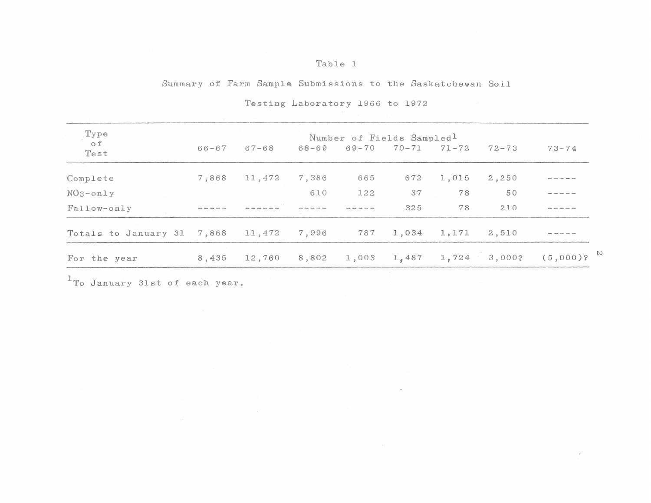# Table l

# Summary of Farm Sample Submissions to the Saskatchewan Soil

Testing Laboratory 1966 to 1972

| Type<br>$\overline{\circ}$ of<br>Test |           |           | Number of Fields Sampled <sup>1</sup> |                 |                   |                               |           |                                     |
|---------------------------------------|-----------|-----------|---------------------------------------|-----------------|-------------------|-------------------------------|-----------|-------------------------------------|
|                                       | $66 - 67$ | $67 - 68$ | $68 - 69$                             |                 |                   | $69 - 70$ $70 - 71$ $71 - 72$ | $72 - 73$ | $73 - 74$                           |
| Complete                              | 7,868     | 11,472    | 7,386                                 | 665             | 672               | 1,015                         | 2,250     |                                     |
| $N03$ -only                           |           |           | 610                                   | 122             | 37                | 78                            | 50        |                                     |
| Fallow-only                           |           |           |                                       |                 | 325               | 78                            | 210       |                                     |
| Totals to January 31 7,868            |           | 11,472    | 7,996                                 |                 | $787 \quad 1,034$ | 1,171                         | 2,510     |                                     |
| For the year                          | 8,435     | 12,760    | 8,802                                 | $1,003$ $1,487$ |                   |                               |           | 1,724 3,000? $(5,000)$ <sup>N</sup> |

<sup>1</sup> To January 31st of each year.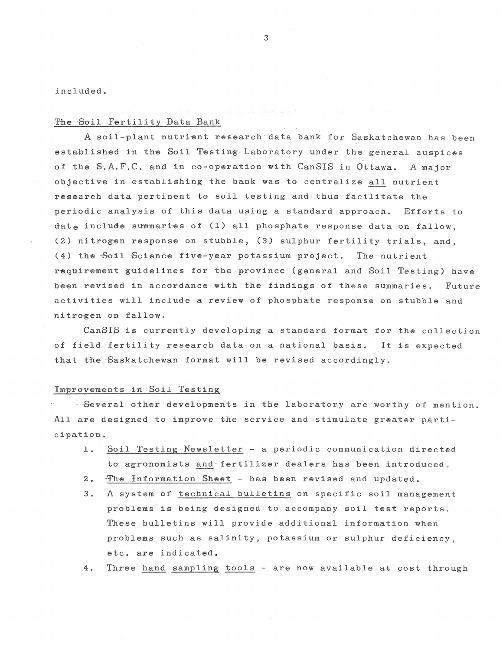included.

## The Soil Fertility Data Bank

A soil-plant nutrient research data bank for Saskatchewan has been established in the Soil Testing Laboratory under the general auspices of the S.A.F.C. and in co-operation with CanSIS in Ottawa. A major objective in establishing the bank was to centralize all nutrient research data pertinent to soil testing and thus facilitate the periodic analysis of this·data using a standard approach. Efforts to date include summaries of (1) all phosphate response data on fallow, (2) nitrogen response on stubble, (3) sulphur fertility trials, and, (4) the Soil Science five-year potassium project. The nutrient requirement guidelines for the .province (general and Soil Testing) have been revised in accordance with the findings of these summaries. Future activities will include a review of phosphate response on stubble and nitrogen on fallow.

CanSIS is currently developing a standard format for the collection of field ·fertility research data on a national basis. It is expected that the Saskatchewan format will be revised accordingly.

## Improvements in Soil Testing

-Several other developments in the laboratory are worthy of mention. All are designed to improve the service and stimulate greater participation;

- 1. Soil Testing Newsletter a periodic communication directed to agronomists and fertilizer dealers has been introduced.
- 2. The Information Sheet has been revised and updated.
- 3. A system of technical bulletins on specific soil management preblems is being designed to accompany soil test reports. These bulletins will provide additional information when problems such as salinity, potassium or sulphur deficiency, etc. are indicated.
- 4. Three hand sampling tools are now available at cost through